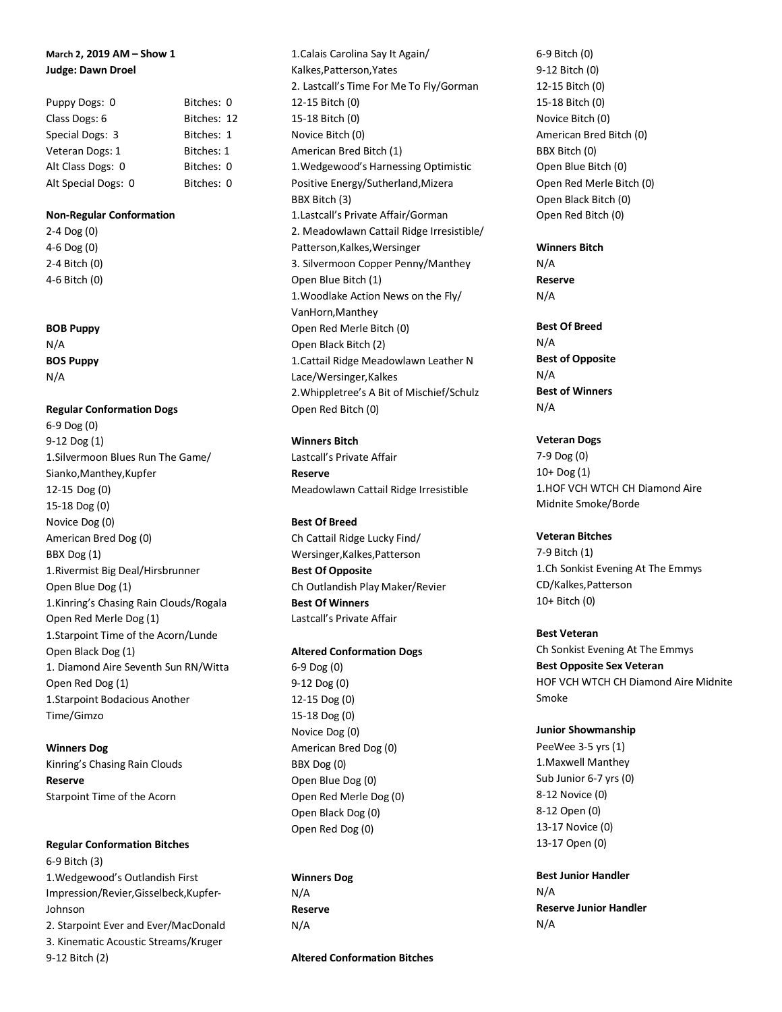# **March 2, 2019 AM – Show 1 Judge: Dawn Droel**

| Puppy Dogs: 0       | Bitches: 0  |
|---------------------|-------------|
| Class Dogs: 6       | Bitches: 12 |
| Special Dogs: 3     | Bitches: 1  |
| Veteran Dogs: 1     | Bitches: 1  |
| Alt Class Dogs: 0   | Bitches: 0  |
| Alt Special Dogs: 0 | Bitches: 0  |

### **Non-Regular Conformation**

2-4 Dog (0) 4-6 Dog (0) 2-4 Bitch (0) 4-6 Bitch (0)

#### **BOB Puppy**

N/A **BOS Puppy** N/A

# **Regular Conformation Dogs**

6-9 Dog (0) 9-12 Dog (1) 1.Silvermoon Blues Run The Game/ Sianko,Manthey,Kupfer 12-15 Dog (0) 15-18 Dog (0) Novice Dog (0) American Bred Dog (0) BBX Dog (1) 1.Rivermist Big Deal/Hirsbrunner Open Blue Dog (1) 1.Kinring's Chasing Rain Clouds/Rogala Open Red Merle Dog (1) 1.Starpoint Time of the Acorn/Lunde Open Black Dog (1) 1. Diamond Aire Seventh Sun RN/Witta Open Red Dog (1) 1.Starpoint Bodacious Another Time/Gimzo

**Winners Dog** Kinring's Chasing Rain Clouds **Reserve** Starpoint Time of the Acorn

# **Regular Conformation Bitches** 6-9 Bitch (3) 1.Wedgewood's Outlandish First Impression/Revier,Gisselbeck,Kupfer-Johnson 2. Starpoint Ever and Ever/MacDonald

3. Kinematic Acoustic Streams/Kruger 9-12 Bitch (2)

1.Calais Carolina Say It Again/ Kalkes,Patterson,Yates 2. Lastcall's Time For Me To Fly/Gorman 12-15 Bitch (0) 15-18 Bitch (0) Novice Bitch (0) American Bred Bitch (1) 1.Wedgewood's Harnessing Optimistic Positive Energy/Sutherland,Mizera BBX Bitch (3) 1.Lastcall's Private Affair/Gorman 2. Meadowlawn Cattail Ridge Irresistible/ Patterson,Kalkes,Wersinger 3. Silvermoon Copper Penny/Manthey Open Blue Bitch (1) 1.Woodlake Action News on the Fly/ VanHorn,Manthey Open Red Merle Bitch (0) Open Black Bitch (2) 1.Cattail Ridge Meadowlawn Leather N Lace/Wersinger,Kalkes 2.Whippletree's A Bit of Mischief/Schulz Open Red Bitch (0)

**Winners Bitch** Lastcall's Private Affair **Reserve** Meadowlawn Cattail Ridge Irresistible

### **Best Of Breed**

Ch Cattail Ridge Lucky Find/ Wersinger,Kalkes,Patterson **Best Of Opposite** Ch Outlandish Play Maker/Revier **Best Of Winners** Lastcall's Private Affair

### **Altered Conformation Dogs**

6-9 Dog (0) 9-12 Dog (0) 12-15 Dog (0) 15-18 Dog (0) Novice Dog (0) American Bred Dog (0) BBX Dog (0) Open Blue Dog (0) Open Red Merle Dog (0) Open Black Dog (0) Open Red Dog (0)

**Winners Dog** N/A **Reserve** N/A

**Altered Conformation Bitches**

6-9 Bitch (0) 9-12 Bitch (0) 12-15 Bitch (0) 15-18 Bitch (0) Novice Bitch (0) American Bred Bitch (0) BBX Bitch (0) Open Blue Bitch (0) Open Red Merle Bitch (0) Open Black Bitch (0) Open Red Bitch (0)

### **Winners Bitch**

N/A **Reserve** N/A

## **Best Of Breed**

N/A **Best of Opposite** N/A **Best of Winners** N/A

# **Veteran Dogs**

7-9 Dog (0) 10+ Dog (1) 1.HOF VCH WTCH CH Diamond Aire Midnite Smoke/Borde

### **Veteran Bitches**

7-9 Bitch (1) 1.Ch Sonkist Evening At The Emmys CD/Kalkes,Patterson 10+ Bitch (0)

### **Best Veteran**

Ch Sonkist Evening At The Emmys **Best Opposite Sex Veteran** HOF VCH WTCH CH Diamond Aire Midnite Smoke

### **Junior Showmanship**

PeeWee 3-5 yrs (1) 1.Maxwell Manthey Sub Junior 6-7 yrs (0) 8-12 Novice (0) 8-12 Open (0) 13-17 Novice (0) 13-17 Open (0)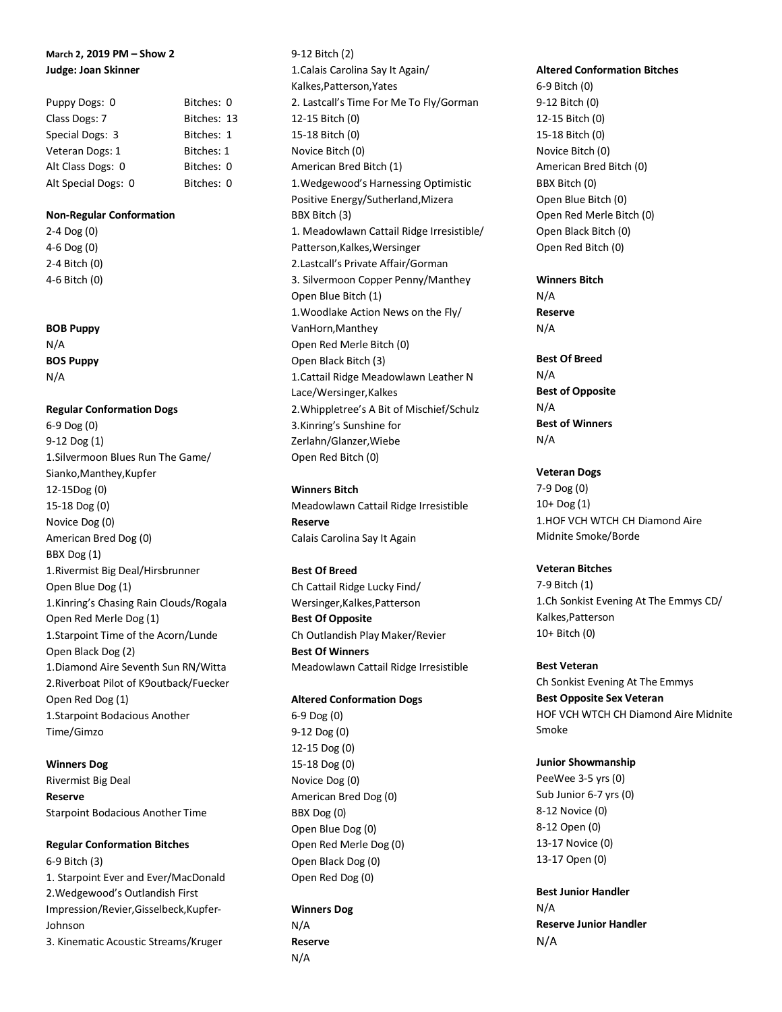# **March 2, 2019 PM – Show 2 Judge: Joan Skinner**

| Puppy Dogs: 0       | Bitches: 0  |
|---------------------|-------------|
| Class Dogs: 7       | Bitches: 13 |
| Special Dogs: 3     | Bitches: 1  |
| Veteran Dogs: 1     | Bitches: 1  |
| Alt Class Dogs: 0   | Bitches: 0  |
| Alt Special Dogs: 0 | Bitches: 0  |

### **Non-Regular Conformation**

2-4 Dog (0) 4-6 Dog (0) 2-4 Bitch (0) 4-6 Bitch (0)

#### **BOB Puppy**

N/A **BOS Puppy** N/A

# **Regular Conformation Dogs**

6-9 Dog (0) 9-12 Dog (1) 1.Silvermoon Blues Run The Game/ Sianko,Manthey,Kupfer 12-15Dog (0) 15-18 Dog (0) Novice Dog (0) American Bred Dog (0) BBX Dog (1) 1.Rivermist Big Deal/Hirsbrunner Open Blue Dog (1) 1.Kinring's Chasing Rain Clouds/Rogala Open Red Merle Dog (1) 1.Starpoint Time of the Acorn/Lunde Open Black Dog (2) 1.Diamond Aire Seventh Sun RN/Witta 2.Riverboat Pilot of K9outback/Fuecker Open Red Dog (1) 1.Starpoint Bodacious Another Time/Gimzo

### **Winners Dog**

Rivermist Big Deal **Reserve** Starpoint Bodacious Another Time

#### **Regular Conformation Bitches**

6-9 Bitch (3) 1. Starpoint Ever and Ever/MacDonald 2.Wedgewood's Outlandish First Impression/Revier,Gisselbeck,Kupfer-Johnson 3. Kinematic Acoustic Streams/Kruger

9-12 Bitch (2) 1.Calais Carolina Say It Again/ Kalkes,Patterson,Yates 2. Lastcall's Time For Me To Fly/Gorman 12-15 Bitch (0) 15-18 Bitch (0) Novice Bitch (0) American Bred Bitch (1) 1.Wedgewood's Harnessing Optimistic Positive Energy/Sutherland,Mizera BBX Bitch (3) 1. Meadowlawn Cattail Ridge Irresistible/ Patterson,Kalkes,Wersinger 2.Lastcall's Private Affair/Gorman 3. Silvermoon Copper Penny/Manthey Open Blue Bitch (1) 1.Woodlake Action News on the Fly/ VanHorn,Manthey Open Red Merle Bitch (0) Open Black Bitch (3) 1.Cattail Ridge Meadowlawn Leather N Lace/Wersinger,Kalkes 2.Whippletree's A Bit of Mischief/Schulz 3.Kinring's Sunshine for Zerlahn/Glanzer,Wiebe Open Red Bitch (0)

### **Winners Bitch**

Meadowlawn Cattail Ridge Irresistible **Reserve** Calais Carolina Say It Again

### **Best Of Breed**

Ch Cattail Ridge Lucky Find/ Wersinger,Kalkes,Patterson **Best Of Opposite** Ch Outlandish Play Maker/Revier **Best Of Winners** Meadowlawn Cattail Ridge Irresistible

#### **Altered Conformation Dogs**

6-9 Dog (0) 9-12 Dog (0) 12-15 Dog (0) 15-18 Dog (0) Novice Dog (0) American Bred Dog (0) BBX Dog (0) Open Blue Dog (0) Open Red Merle Dog (0) Open Black Dog (0) Open Red Dog (0)

### **Winners Dog**

N/A **Reserve** N/A

### **Altered Conformation Bitches**

6-9 Bitch (0) 9-12 Bitch (0) 12-15 Bitch (0) 15-18 Bitch (0) Novice Bitch (0) American Bred Bitch (0) BBX Bitch (0) Open Blue Bitch (0) Open Red Merle Bitch (0) Open Black Bitch (0) Open Red Bitch (0)

# **Winners Bitch**

N/A **Reserve** N/A

**Best Of Breed** N/A **Best of Opposite** N/A **Best of Winners** N/A

### **Veteran Dogs**

7-9 Dog (0) 10+ Dog (1) 1.HOF VCH WTCH CH Diamond Aire Midnite Smoke/Borde

# **Veteran Bitches**

7-9 Bitch (1) 1.Ch Sonkist Evening At The Emmys CD/ Kalkes,Patterson 10+ Bitch (0)

#### **Best Veteran**

Ch Sonkist Evening At The Emmys **Best Opposite Sex Veteran** HOF VCH WTCH CH Diamond Aire Midnite Smoke

### **Junior Showmanship**

PeeWee 3-5 yrs (0) Sub Junior 6-7 yrs (0) 8-12 Novice (0) 8-12 Open (0) 13-17 Novice (0) 13-17 Open (0)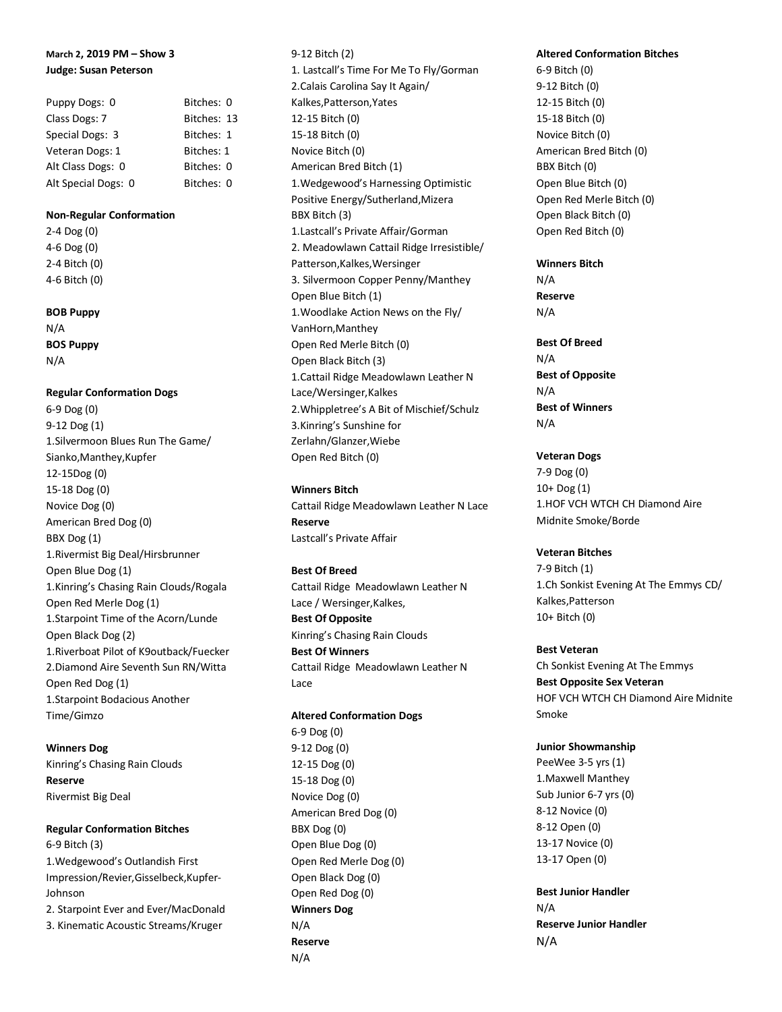# **March 2, 2019 PM – Show 3 Judge: Susan Peterson**

| Puppy Dogs: 0       | Bitches: 0  |
|---------------------|-------------|
| Class Dogs: 7       | Bitches: 13 |
| Special Dogs: 3     | Bitches: 1  |
| Veteran Dogs: 1     | Bitches: 1  |
| Alt Class Dogs: 0   | Bitches: 0  |
| Alt Special Dogs: 0 | Bitches: 0  |

### **Non-Regular Conformation**

2-4 Dog (0) 4-6 Dog (0) 2-4 Bitch (0) 4-6 Bitch (0)

**BOB Puppy**

N/A **BOS Puppy** N/A

**Regular Conformation Dogs** 6-9 Dog (0)

9-12 Dog (1) 1.Silvermoon Blues Run The Game/ Sianko,Manthey,Kupfer 12-15Dog (0) 15-18 Dog (0) Novice Dog (0) American Bred Dog (0) BBX Dog (1) 1.Rivermist Big Deal/Hirsbrunner Open Blue Dog (1) 1.Kinring's Chasing Rain Clouds/Rogala Open Red Merle Dog (1) 1.Starpoint Time of the Acorn/Lunde Open Black Dog (2) 1.Riverboat Pilot of K9outback/Fuecker 2.Diamond Aire Seventh Sun RN/Witta Open Red Dog (1) 1.Starpoint Bodacious Another Time/Gimzo

**Winners Dog** Kinring's Chasing Rain Clouds **Reserve** Rivermist Big Deal

# **Regular Conformation Bitches**

6-9 Bitch (3) 1.Wedgewood's Outlandish First Impression/Revier,Gisselbeck,Kupfer-Johnson 2. Starpoint Ever and Ever/MacDonald

3. Kinematic Acoustic Streams/Kruger

9-12 Bitch (2) 1. Lastcall's Time For Me To Fly/Gorman 2.Calais Carolina Say It Again/ Kalkes,Patterson,Yates 12-15 Bitch (0) 15-18 Bitch (0) Novice Bitch (0) American Bred Bitch (1) 1.Wedgewood's Harnessing Optimistic Positive Energy/Sutherland,Mizera BBX Bitch (3) 1.Lastcall's Private Affair/Gorman 2. Meadowlawn Cattail Ridge Irresistible/ Patterson,Kalkes,Wersinger 3. Silvermoon Copper Penny/Manthey Open Blue Bitch (1) 1.Woodlake Action News on the Fly/ VanHorn,Manthey Open Red Merle Bitch (0) Open Black Bitch (3) 1.Cattail Ridge Meadowlawn Leather N Lace/Wersinger,Kalkes 2.Whippletree's A Bit of Mischief/Schulz 3.Kinring's Sunshine for Zerlahn/Glanzer,Wiebe Open Red Bitch (0)

**Winners Bitch** Cattail Ridge Meadowlawn Leather N Lace **Reserve** Lastcall's Private Affair

# **Best Of Breed**

Cattail Ridge Meadowlawn Leather N Lace / Wersinger,Kalkes, **Best Of Opposite** Kinring's Chasing Rain Clouds **Best Of Winners** Cattail Ridge Meadowlawn Leather N Lace

**Altered Conformation Dogs**

6-9 Dog (0) 9-12 Dog (0) 12-15 Dog (0) 15-18 Dog (0) Novice Dog (0) American Bred Dog (0) BBX Dog (0) Open Blue Dog (0) Open Red Merle Dog (0) Open Black Dog (0) Open Red Dog (0) **Winners Dog** N/A **Reserve** N/A

### **Altered Conformation Bitches**

6-9 Bitch (0) 9-12 Bitch (0) 12-15 Bitch (0) 15-18 Bitch (0) Novice Bitch (0) American Bred Bitch (0) BBX Bitch (0) Open Blue Bitch (0) Open Red Merle Bitch (0) Open Black Bitch (0) Open Red Bitch (0)

# **Winners Bitch**

N/A **Reserve** N/A

# **Best Of Breed**

N/A **Best of Opposite** N/A **Best of Winners** N/A

# **Veteran Dogs**

7-9 Dog (0) 10+ Dog (1) 1.HOF VCH WTCH CH Diamond Aire Midnite Smoke/Borde

# **Veteran Bitches**

7-9 Bitch (1) 1.Ch Sonkist Evening At The Emmys CD/ Kalkes,Patterson 10+ Bitch (0)

# **Best Veteran**

Ch Sonkist Evening At The Emmys **Best Opposite Sex Veteran** HOF VCH WTCH CH Diamond Aire Midnite Smoke

# **Junior Showmanship**

PeeWee 3-5 yrs (1) 1.Maxwell Manthey Sub Junior 6-7 yrs (0) 8-12 Novice (0) 8-12 Open (0) 13-17 Novice (0) 13-17 Open (0)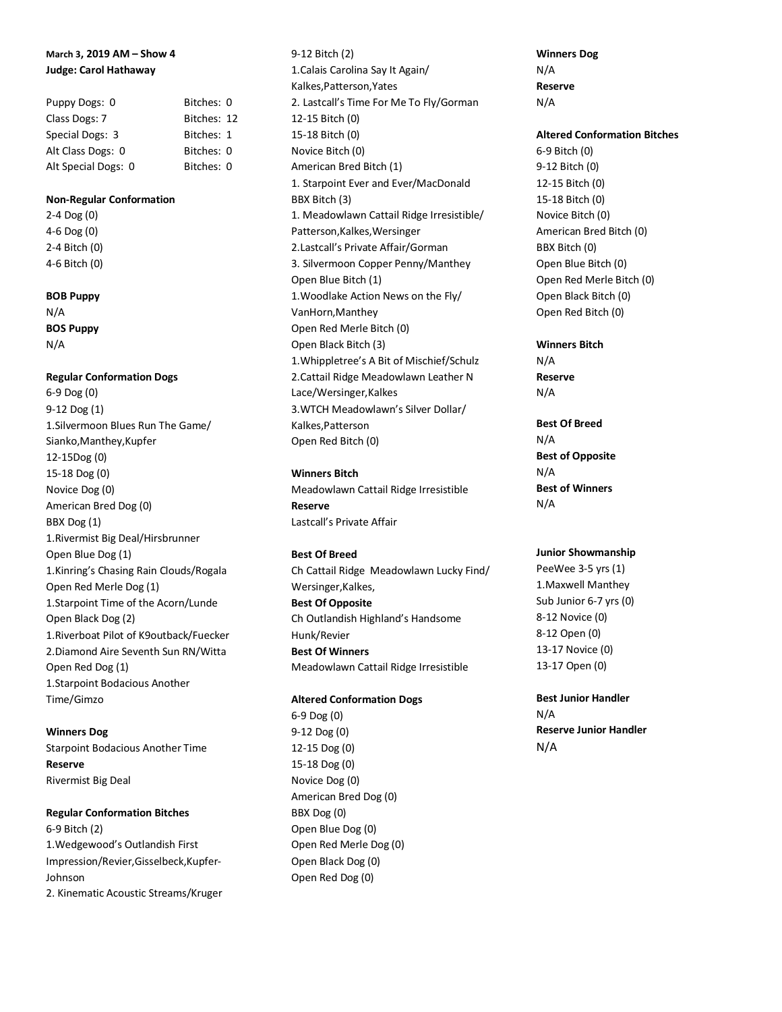# **March 3, 2019 AM – Show 4 Judge: Carol Hathaway**

| Puppy Dogs: 0       | Bitches: 0  |  |
|---------------------|-------------|--|
| Class Dogs: 7       | Bitches: 12 |  |
| Special Dogs: 3     | Bitches: 1  |  |
| Alt Class Dogs: 0   | Bitches: 0  |  |
| Alt Special Dogs: 0 | Bitches: 0  |  |

#### **Non-Regular Conformation**

2-4 Dog (0) 4-6 Dog (0) 2-4 Bitch (0) 4-6 Bitch (0)

### **BOB Puppy**

N/A **BOS Puppy** N/A

### **Regular Conformation Dogs**

6-9 Dog (0) 9-12 Dog (1) 1.Silvermoon Blues Run The Game/ Sianko,Manthey,Kupfer 12-15Dog (0) 15-18 Dog (0) Novice Dog (0) American Bred Dog (0) BBX Dog (1) 1.Rivermist Big Deal/Hirsbrunner Open Blue Dog (1) 1.Kinring's Chasing Rain Clouds/Rogala Open Red Merle Dog (1) 1.Starpoint Time of the Acorn/Lunde Open Black Dog (2) 1.Riverboat Pilot of K9outback/Fuecker 2.Diamond Aire Seventh Sun RN/Witta Open Red Dog (1) 1.Starpoint Bodacious Another Time/Gimzo

### **Winners Dog**

Starpoint Bodacious Another Time **Reserve** Rivermist Big Deal

# **Regular Conformation Bitches**

6-9 Bitch (2) 1.Wedgewood's Outlandish First Impression/Revier,Gisselbeck,Kupfer-Johnson 2. Kinematic Acoustic Streams/Kruger 9-12 Bitch (2) 1.Calais Carolina Say It Again/ Kalkes,Patterson,Yates 2. Lastcall's Time For Me To Fly/Gorman 12-15 Bitch (0) 15-18 Bitch (0) Novice Bitch (0) American Bred Bitch (1) 1. Starpoint Ever and Ever/MacDonald BBX Bitch (3) 1. Meadowlawn Cattail Ridge Irresistible/ Patterson,Kalkes,Wersinger 2.Lastcall's Private Affair/Gorman 3. Silvermoon Copper Penny/Manthey Open Blue Bitch (1) 1.Woodlake Action News on the Fly/ VanHorn,Manthey Open Red Merle Bitch (0) Open Black Bitch (3) 1.Whippletree's A Bit of Mischief/Schulz 2.Cattail Ridge Meadowlawn Leather N Lace/Wersinger,Kalkes 3.WTCH Meadowlawn's Silver Dollar/ Kalkes,Patterson Open Red Bitch (0)

# **Winners Bitch** Meadowlawn Cattail Ridge Irresistible **Reserve** Lastcall's Private Affair

# **Best Of Breed**

Ch Cattail Ridge Meadowlawn Lucky Find/ Wersinger,Kalkes, **Best Of Opposite** Ch Outlandish Highland's Handsome Hunk/Revier **Best Of Winners** Meadowlawn Cattail Ridge Irresistible

### **Altered Conformation Dogs**

6-9 Dog (0) 9-12 Dog (0) 12-15 Dog (0) 15-18 Dog (0) Novice Dog (0) American Bred Dog (0) BBX Dog (0) Open Blue Dog (0) Open Red Merle Dog (0) Open Black Dog (0) Open Red Dog (0)

**Winners Dog** N/A **Reserve** N/A

### **Altered Conformation Bitches**

6-9 Bitch (0) 9-12 Bitch (0) 12-15 Bitch (0) 15-18 Bitch (0) Novice Bitch (0) American Bred Bitch (0) BBX Bitch (0) Open Blue Bitch (0) Open Red Merle Bitch (0) Open Black Bitch (0) Open Red Bitch (0)

**Winners Bitch** N/A **Reserve** N/A

**Best Of Breed** N/A **Best of Opposite** N/A **Best of Winners** N/A

# **Junior Showmanship**

PeeWee 3-5 yrs (1) 1.Maxwell Manthey Sub Junior 6-7 yrs (0) 8-12 Novice (0) 8-12 Open (0) 13-17 Novice (0) 13-17 Open (0)